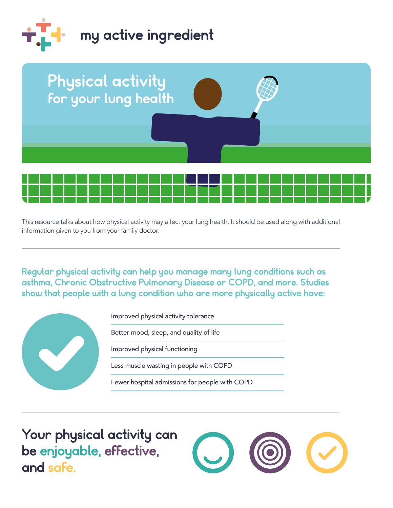



 This resource talks about how physical activity may affect your lung health. It should be used along with additional information given to you from your family doctor.

Regular physical activity can help you manage many lung conditions such as asthma, Chronic Obstructive Pulmonary Disease or COPD, and more. Studies show that people with a lung condition who are more physically active have:



 be enjoyable, effective, Your physical activity can and safe.